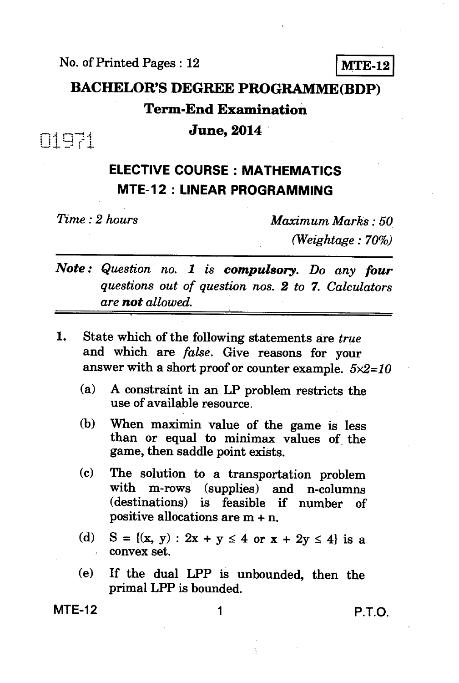**No. of Printed Pages : 12 MTE-12** 

# **BACHELOR'S DEGREE PROGRAMME(BDP) Term-End Examination**  *June***, 2014** *E*

**ELECTIVE COURSE : MATHEMATICS MTE-12 : LINEAR PROGRAMMING** 

*Time : 2 hours Maximum Marks : 50 (Weightage : 70%)* 

*Note : Question no. 1 is compulsory. Do any four questions out of question nos. 2 to* **7.** *Calculators are not allowed.* 

- **1.** State which of the following statements are *true* **and which** *are false.* **Give reasons for your answer with a short proof or counter example.** *5x2=10* 
	- **(a) A constraint in an LP problem restricts the use of available resource.**
	- **(b) When maximin value of the game is less than or equal to minimax values of the game, then saddle point exists.**
	- **(c) The solution to a transportation problem with m-rows (supplies) and n-columns (destinations) is feasible if number of positive allocations are m + n.**
	- (d)  $S = \{(x, y) : 2x + y \le 4 \text{ or } x + 2y \le 4\}$  is a **convex set.**
	- **(e) If the dual LPP is unbounded, then the primal LPP is bounded.**

**MTE-12** 1 **P.T.O.**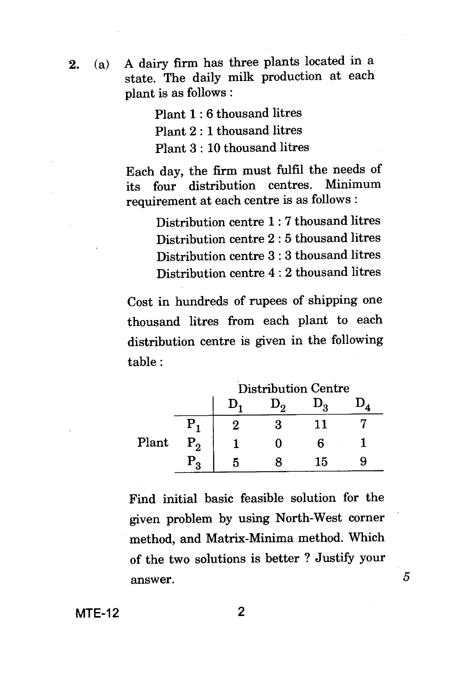**2.** (a) A dairy firm has three plants located in a state. The daily milk production at each plant is as follows :

> Plant 1 : 6 thousand litres Plant 2 : 1 thousand litres Plant 3 : 10 thousand litres

Each day, the firm must fulfil the needs of<br>its four distribution centres. Minimum its four distribution centres. requirement at each centre is as follows :

> Distribution centre 1 : 7 thousand litres Distribution centre 2 : 5 thousand litres Distribution centre 3 : 3 thousand litres Distribution centre 4 : 2 thousand litres

Cost in hundreds of rupees of shipping one thousand litres from each plant to each distribution centre is given in the following table :

|       |           | <b>Distribution Centre</b> |  |    |  |  |
|-------|-----------|----------------------------|--|----|--|--|
|       |           |                            |  |    |  |  |
|       |           |                            |  | 11 |  |  |
| Plant | $\rm P_2$ |                            |  | հ  |  |  |
|       | P,        |                            |  | 15 |  |  |

Find initial basic feasible solution for the given problem by using North-West corner method, and Matrix-Minima method. Which of the two solutions is better ? Justify your answer.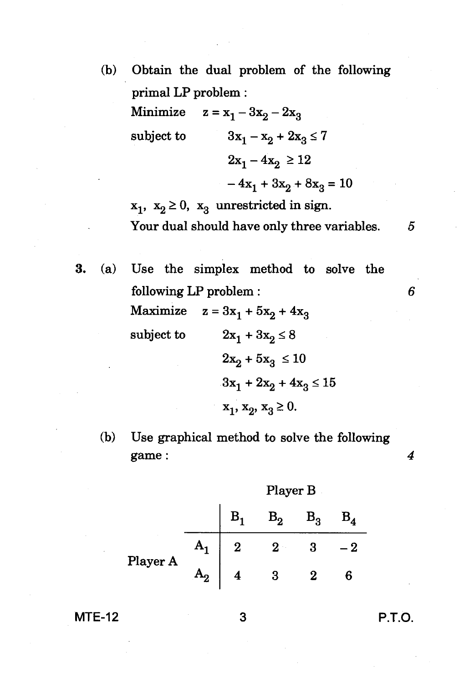- (b) Obtain the dual problem of the following primal LP problem :
	- Minimize  $z = x_1 3x_2 2x_3$ subject to  $3x_1 - x_2 + 2x_3 \le 7$  $2x_1 - 4x_2 \ge 12$  $-4x_1 + 3x_2 + 8x_3 = 10$

 $x_1$ ,  $x_2 \ge 0$ ,  $x_3$  unrestricted in sign. Your dual should have only three variables. 5

- 3. (a) Use the simplex method to solve the following LP problem : *6*  Maximize  $z = 3x_1 + 5x_2 + 4x_3$ subject to  $2x_1 + 3x_2 \le 8$  $2x_2 + 5x_3 \le 10$  $3x_1 + 2x_2 + 4x_3 \le 15$  $x_1, x_2, x_3 \geq 0.$ 
	- (b) Use graphical method to solve the following game : *4*

Player **B** 

 $B_1$   $B_2$   $B_3$  $\mathbf{A_1} \parallel 2 \qquad 2 \qquad 3 \qquad -2$ Player A  $\mathbf{A_2} \parallel 4$  3 2 6

#### **MTE-12 3 P.T.O.**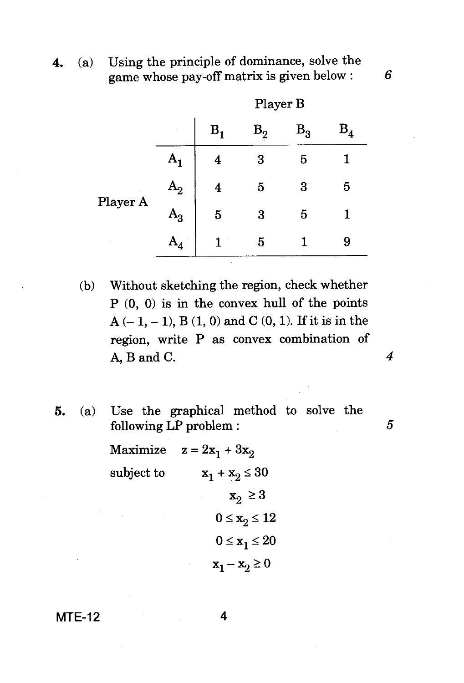4. (a) Using the principle of dominance, solve the game whose pay-off matrix is given below : *6* 

|          |                |             | Player B        |       |              |
|----------|----------------|-------------|-----------------|-------|--------------|
|          |                | $\rm B_{1}$ | $\mathrm B_{2}$ | $B_3$ | $\rm B^{}_4$ |
|          |                | 4           | 3               | 5     |              |
|          | $A_2$          | 4           | 5               | 3     | 5            |
| Player A | ${\tt A_3}$    | 5           | 3               | 5     |              |
|          | $\mathbf{A}_4$ |             | 5               |       | 9            |

- (b) Without sketching the region, check whether P (0, 0) is in the convex hull of the points  $A(-1, -1)$ ,  $B(1, 0)$  and  $C(0, 1)$ . If it is in the region, write P as convex combination of A, B and C. *4*
- 5. (a) Use the graphical method to solve the  $\substack{\text{following LP problem :}}$  5

Maximize  $z = 2x_1 + 3x_2$ subject to  $x_1 + x_2 \leq 30$  $x_2 \geq 3$  $0 \leq x_2 \leq 12$  $0 \leq x_1 \leq 20$  $x_1 - x_2 \ge 0$ 

MTE-12 4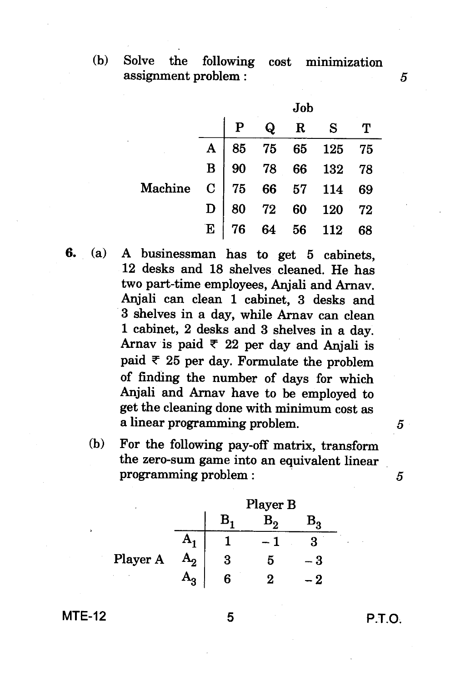**(b) Solve the following cost minimization assignment problem :** 5

|                                                                                                               |  | Job |         |  |
|---------------------------------------------------------------------------------------------------------------|--|-----|---------|--|
|                                                                                                               |  |     | Q R S T |  |
| A 85 75 65 125 75<br>B 90 78 66 132 78<br>Machine C 75 66 57 114 69<br>D 80 72 60 120 72<br>E 76 64 56 112 68 |  |     |         |  |
|                                                                                                               |  |     |         |  |
|                                                                                                               |  |     |         |  |
|                                                                                                               |  |     |         |  |
|                                                                                                               |  |     |         |  |

- **6. (a) A businessman has to get 5 cabinets, 12 desks and 18 shelves cleaned. He has two part-time employees, Anjali and Arnay. Anjali can clean 1 cabinet, 3 desks and 3 shelves in a day, while Arnav can clean 1 cabinet, 2 desks and 3 shelves in a day.**  Arnav is paid  $\overline{\tau}$  22 per day and Anjali is **paid 25 per day. Formulate the problem of finding the number of days for which Anjali and Arnav have to be employed to get the cleaning done with minimum cost as a linear programming problem.** 
	- **(b) For the following pay-off matrix, transform the zero-sum game into an equivalent linear**  programming problem : 5

|          |   | Player B |  |
|----------|---|----------|--|
|          | В |          |  |
|          |   |          |  |
| Player A | 3 | 5        |  |
|          | 6 | 2        |  |

#### **MTE-12 5**

P.T.O.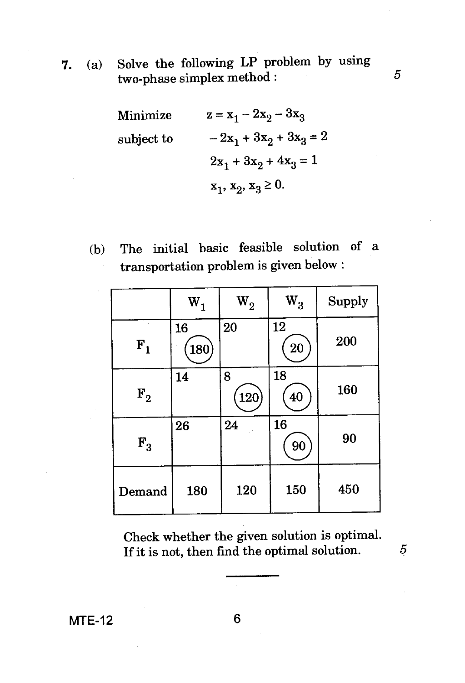**7.** (a) Solve the following LP problem by using  $two-phase$  simplex method :  $5$ 

> Minimize  $z = x_1 - 2x_2 - 3x_3$ subject to  $-2x_1 + 3x_2 + 3x_3 = 2$  $2x_1 + 3x_2 + 4x_3 = 1$  $x_1, x_2, x_3 \geq 0.$

(b) The initial basic feasible solution of a transportation problem is given below :

|                  | $W_1$     | $\mathrm{W}_2^{}$ | $W_3$           | Supply |
|------------------|-----------|-------------------|-----------------|--------|
| ${\bf F_1}$      | 16<br>180 | 20                | 12<br><b>20</b> | 200    |
| $\mathbf{F_{2}}$ | 14        | 8<br>$120\,$      | 18<br>40        | 160    |
| $\mathbf{F}_3$   | 26        | 24                | 16<br>90        | 90     |
| Demand           | 180       | 120               | 150             | 450    |

Check whether the given solution is optimal. If it is not, then find the optimal solution.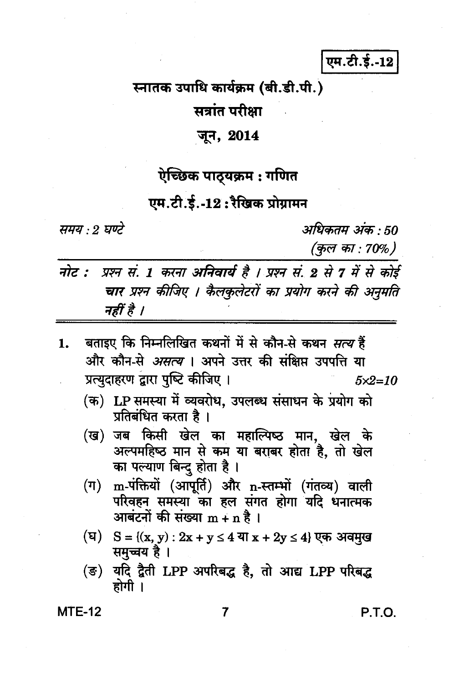एम.टी.ई.-12

# स्नातक उपाधि कार्यक्रम (बी.डी.पी.)

# सत्रांत परीक्षा

#### जून, 2014

#### ऐच्छिक पाठ्यक्रम : गणित

### एम.टी.ई.-12:रैखिक प्रोग्रामन

समय : 2 घण्टे

अधिकतम अंक : 50 (कुल का : 70%)

- नोट : प्रश्न सं. 1 करना अनिवार्य है । प्रश्न सं. 2 से 7 में से कोई चार प्रश्न कीजिए । कैलकृलेटरों का प्रयोग करने की अनुमति नहीं है ।
- बताइए कि निम्नलिखित कथनों में से कौन-से कथन *सत्य* हैं 1. और कौन-से *असत्य* । अपने उत्तर की संक्षिप्त उपपत्ति या प्रत्युदाहरण द्वारा पुष्टि कीजिए ।  $5x2=10$ 
	- (क) LP समस्या में व्यवरोध, उपलब्ध संसाधन के प्रयोग को प्रतिबंधित करता है।
	- (ख) जब किसी खेल का महाल्पिष्ठ मान, खेल के अल्पमहिष्ठ मान से कम या बराबर होता है, तो खेल का पल्याण बिन्द होता है।
	- m-पंक्तियों (आपूर्ति) और n-स्तम्भों (गंतव्य) वाली  $(\Pi)$ परिवहन समस्या का हल संगत होगा यदि धनात्मक आबंटनों की संख्या  $m + n$  है।
	- (घ)  $S = \{(x, y) : 2x + y \le 4$  या  $x + 2y \le 4\}$  एक अवमुख समुच्चय है ।
	- यदि द्वैती LPP अपरिबद्ध है, तो आद्य LPP परिबद्ध (ङ) होगी ।

**MTE-12** 

7

P.T.O.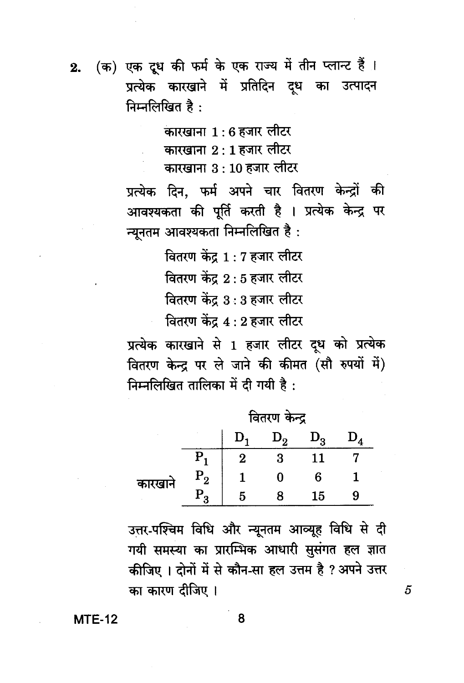(क) एक दूध की फर्म के एक राज्य में तीन प्लान्ट हैं ।  $2.$ प्रत्येक कारखाने में प्रतिदिन दध का उत्पादन निम्नलिखित है:

कारखाना 1 : 6 हजार लीटर

कारखाना 2 : 1 हजार लीटर

कारखाना ३ : 10 हजार लीटर

प्रत्येक दिन, फर्म अपने चार वितरण केन्द्रों की आवश्यकता की पूर्ति करती है । प्रत्येक केन्द्र पर न्यनतम आवश्यकता निम्नलिखित है:

> वितरण केंद्र 1 : 7 हजार लीटर वितरण केंद्र 2:5 हजार लीटर वितरण केंद्र 3:3 हजार लीटर

> वितरण केंद्र 4 : 2 हजार लीटर

प्रत्येक कारखाने से 1 हजार लीटर दध को प्रत्येक वितरण केन्द्र पर ले जाने की कीमत (सौ रुपयों में) निम्नलिखित तालिका में दी गयी है:

|        | वितरण केन्द्र |   |     |    |  |  |
|--------|---------------|---|-----|----|--|--|
|        |               |   | ۱., | o  |  |  |
|        |               | 2 |     |    |  |  |
| कारखान | $P_{2}$       |   |     | ჩ  |  |  |
|        | ${\bf P_q}$   |   |     | 15 |  |  |

उत्तर-पश्चिम विधि और न्यूनतम आव्यूह विधि से दी गयी समस्या का प्रारम्भिक आधारी सुसंगत हल ज्ञात कीजिए । दोनों में से कौन-सा हल उत्तम है ? अपने उत्तर का कारण दीजिए ।

**MTE-12** 

8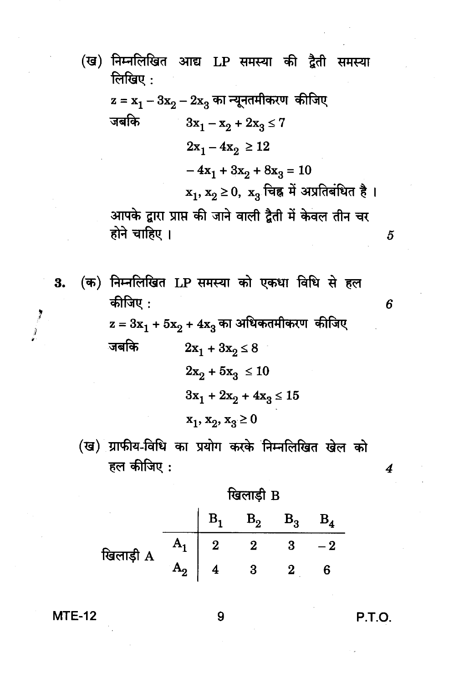- (ख) निम्नलिखित आद्य LP समस्या की द्वैती समस्या लिखिए $:$  $z = x_1 - 3x_2 - 2x_3$  का न्यूनतमीकरण कीजिए जबकि  $3x_1 - x_2 + 2x_3 \leq 7$  $2x_1 - 4x_2 \ge 12$  $-4x_1 + 3x_2 + 8x_3 = 10$  $\mathbf{x}_1, \mathbf{x}_2$ ≥ 0,  $\mathbf{x}_3$  चिह्न में अप्रतिबंधित है। आपके द्वारा प्राप्त की जाने वाली द्वैती में केवल तीन चर होने चाहिए । (क) निम्नलिखित LP समस्या को एकधा विधि से हल
- कीजिए :  $\rm z = 3x_1 + 5x_2 + 4x_3$ का अधिकतमीकरण कीजिए जबकि  $2x_1 + 3x_2 \le 8$  $2x_2 + 5x_3 \le 10$  $3x_1 + 2x_2 + 4x_3 \le 15$  $x_1, x_2, x_3 \ge 0$ 
	- (ख) ग्राफीय-विधि का प्रयोग करके निम्नलिखित खेल को हल कीजिए:
		- खिलाड़ी B  $\mathbf{B}_1$  $B_2$  $B_3$  $B_4$  $A_1$  $\begin{array}{|c|c|c|}\n\hline\n2 & 2 & 3 \\
		\hline\n\end{array}$  $-2$ खिलाड़ी A  $3\qquad 2$  $6\phantom{1}6$

**MTE-12** 

3.

 $\frac{1}{2}$ 

**P.T.O.** 

 $\overline{5}$ 

6

4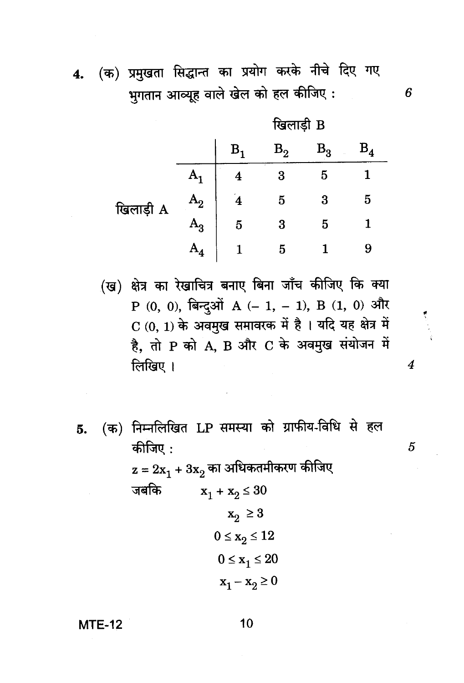(क) प्रमुखता सिद्धान्त का प्रयोग करके नीचे दिए गए  $4.$ भुगतान आव्यूह वाले खेल को हल कीजिए:

|           | खिलाड़ी B      |   |    |             |              |  |
|-----------|----------------|---|----|-------------|--------------|--|
|           |                | в | B, | $B_3$<br>×, | $\rm B^{}_4$ |  |
|           |                | 4 | 3  | 5           |              |  |
| खिलाड़ी A | Α,             | 4 | 5  | 3           | 5            |  |
|           | $\rm A^{}_{3}$ | 5 | 3  | 5           |              |  |
|           | ${\bf A}_A$    |   | 5  |             | 9            |  |

(ख) क्षेत्र का रेखाचित्र बनाए बिना जाँच कीजिए कि क्या P (0, 0), बिन्दुओं A (- 1, - 1), B (1, 0) और  $C(0, 1)$  के अवमुख समावरक में है। यदि यह क्षेत्र में है. तो P को A. B और C के अवमुख संयोजन में लिखिए ।

(क) निम्नलिखित LP समस्या को ग्राफीय-विधि से हल 5. कीजिए:

> $z = 2x_1 + 3x_2$  का अधिकतमीकरण कीजिए जबकि  $x_1 + x_2 \le 30$  $x_2 \geq 3$  $0 \leq x_2 \leq 12$  $0 \leq x_1 \leq 20$  $\mathbf{x}_1 - \mathbf{x}_2 \geq 0$

**MTE-12** 

10

 $\overline{4}$ 

5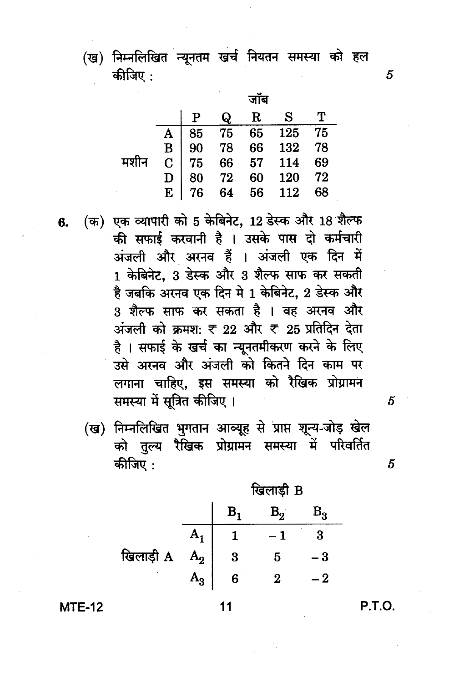(ख) निम्नलिखित न्यूनतम खर्च नियतन समस्या को हल कीजिए :

|      |  |          | जाब         |                                                                                                       |         |
|------|--|----------|-------------|-------------------------------------------------------------------------------------------------------|---------|
|      |  | $\bf{Q}$ | $\mathbf R$ | $\mathbf{S}$                                                                                          | $\bf T$ |
|      |  |          |             |                                                                                                       |         |
|      |  |          |             |                                                                                                       |         |
| मशीन |  |          |             |                                                                                                       |         |
|      |  |          |             |                                                                                                       |         |
|      |  |          |             | A 85 75 65 125 75<br>B 90 78 66 132 78<br>C 75 66 57 114 69<br>D 80 72 60 120 72<br>E 76 64 56 112 68 |         |

(क) एक व्यापारी को 5 केबिनेट, 12 डेस्क और 18 शैल्फ की सफाई करवानी है । उसके पास दो कर्मचारी अंजली और अरनव हैं । अंजली एक दिन में 1 केबिनेट, 3 डेस्क और 3 शैल्फ साफ कर सकती है जबकि अरनव एक दिन मे 1 केबिनेट, 2 डेस्क और 3 शैल्फ साफ कर सकता है । वह अरनव और अंजली को क्रमश: ₹ 22 और ₹ 25 प्रतिदिन देता है। सफाई के खर्च का न्यूनतमीकरण करने के लिए उसे अरनव और अंजली को कितने दिन काम पर लगाना चाहिए, इस समस्या को रैखिक प्रोग्रामन समस्या में सूत्रित कीजिए।

(ख) निम्नलिखित भुगतान आव्यूह से प्राप्त शून्य-जोड़ खेल को तुल्य रैखिक प्रोग्रामन समस्या में परिवर्तित कीजिए :

ਸ਼ਿਕਾਈ R

|           |                | в. | $\mathrm B_2^-$ | $\rm B^{}_{3}$ |
|-----------|----------------|----|-----------------|----------------|
|           |                |    |                 | 3              |
| खिलाड़ी A | A <sub>2</sub> | 3  |                 |                |
|           | $A_3$          | 6  |                 |                |
|           |                |    |                 |                |

 $11$ 

**MTE-12** 

6.

P.T.O.

5